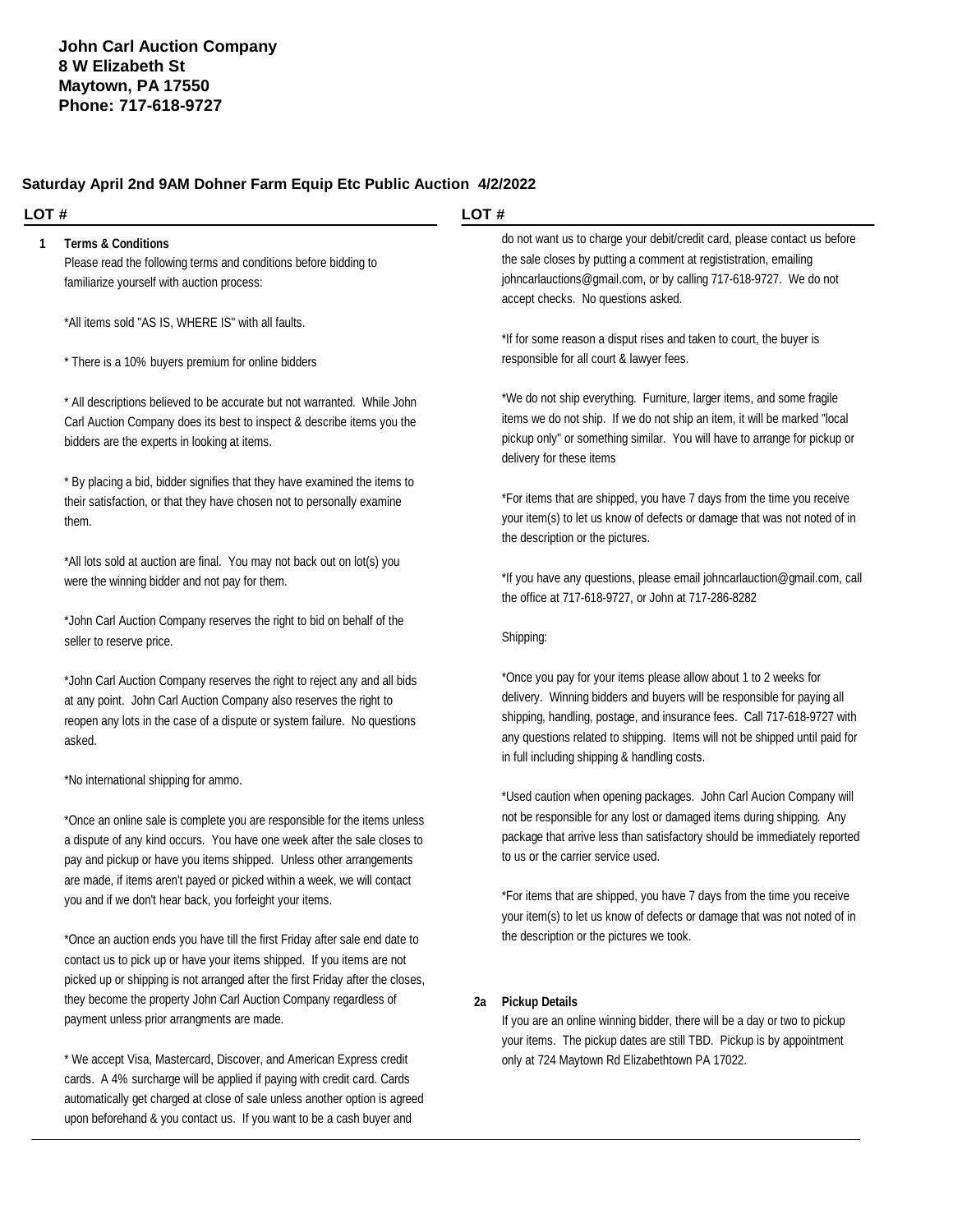### **Saturday April 2nd 9AM Dohner Farm Equip Etc Public Auction 4/2/2022**

#### **LOT #**

#### **1 Terms & Conditions**

Please read the following terms and conditions before bidding to familiarize yourself with auction process:

\*All items sold "AS IS, WHERE IS" with all faults.

\* There is a 10% buyers premium for online bidders

\* All descriptions believed to be accurate but not warranted. While John Carl Auction Company does its best to inspect & describe items you the bidders are the experts in looking at items.

\* By placing a bid, bidder signifies that they have examined the items to their satisfaction, or that they have chosen not to personally examine them.

\*All lots sold at auction are final. You may not back out on lot(s) you were the winning bidder and not pay for them.

\*John Carl Auction Company reserves the right to bid on behalf of the seller to reserve price.

\*John Carl Auction Company reserves the right to reject any and all bids at any point. John Carl Auction Company also reserves the right to reopen any lots in the case of a dispute or system failure. No questions asked.

\*No international shipping for ammo.

\*Once an online sale is complete you are responsible for the items unless a dispute of any kind occurs. You have one week after the sale closes to pay and pickup or have you items shipped. Unless other arrangements are made, if items aren't payed or picked within a week, we will contact you and if we don't hear back, you forfeight your items.

\*Once an auction ends you have till the first Friday after sale end date to contact us to pick up or have your items shipped. If you items are not picked up or shipping is not arranged after the first Friday after the closes, they become the property John Carl Auction Company regardless of payment unless prior arrangments are made.

\* We accept Visa, Mastercard, Discover, and American Express credit cards. A 4% surcharge will be applied if paying with credit card. Cards automatically get charged at close of sale unless another option is agreed upon beforehand & you contact us. If you want to be a cash buyer and

### **LOT #**

do not want us to charge your debit/credit card, please contact us before the sale closes by putting a comment at regististration, emailing [johncarlauctions@gmail.com,](mailto:johncarlauctions@gmail.com,) or by calling 717-618-9727. We do not accept checks. No questions asked.

\*If for some reason a disput rises and taken to court, the buyer is responsible for all court & lawyer fees.

\*We do not ship everything. Furniture, larger items, and some fragile items we do not ship. If we do not ship an item, it will be marked "local pickup only" or something similar. You will have to arrange for pickup or delivery for these items

\*For items that are shipped, you have 7 days from the time you receive your item(s) to let us know of defects or damage that was not noted of in the description or the pictures.

\*If you have any questions, please email [johncarlauction@gmail.com,](mailto:johncarlauction@gmail.com,) call the office at 717-618-9727, or John at 717-286-8282

#### Shipping:

\*Once you pay for your items please allow about 1 to 2 weeks for delivery. Winning bidders and buyers will be responsible for paying all shipping, handling, postage, and insurance fees. Call 717-618-9727 with any questions related to shipping. Items will not be shipped until paid for in full including shipping & handling costs.

\*Used caution when opening packages. John Carl Aucion Company will not be responsible for any lost or damaged items during shipping. Any package that arrive less than satisfactory should be immediately reported to us or the carrier service used.

\*For items that are shipped, you have 7 days from the time you receive your item(s) to let us know of defects or damage that was not noted of in the description or the pictures we took.

#### **2a Pickup Details**

If you are an online winning bidder, there will be a day or two to pickup your items. The pickup dates are still TBD. Pickup is by appointment only at 724 Maytown Rd Elizabethtown PA 17022.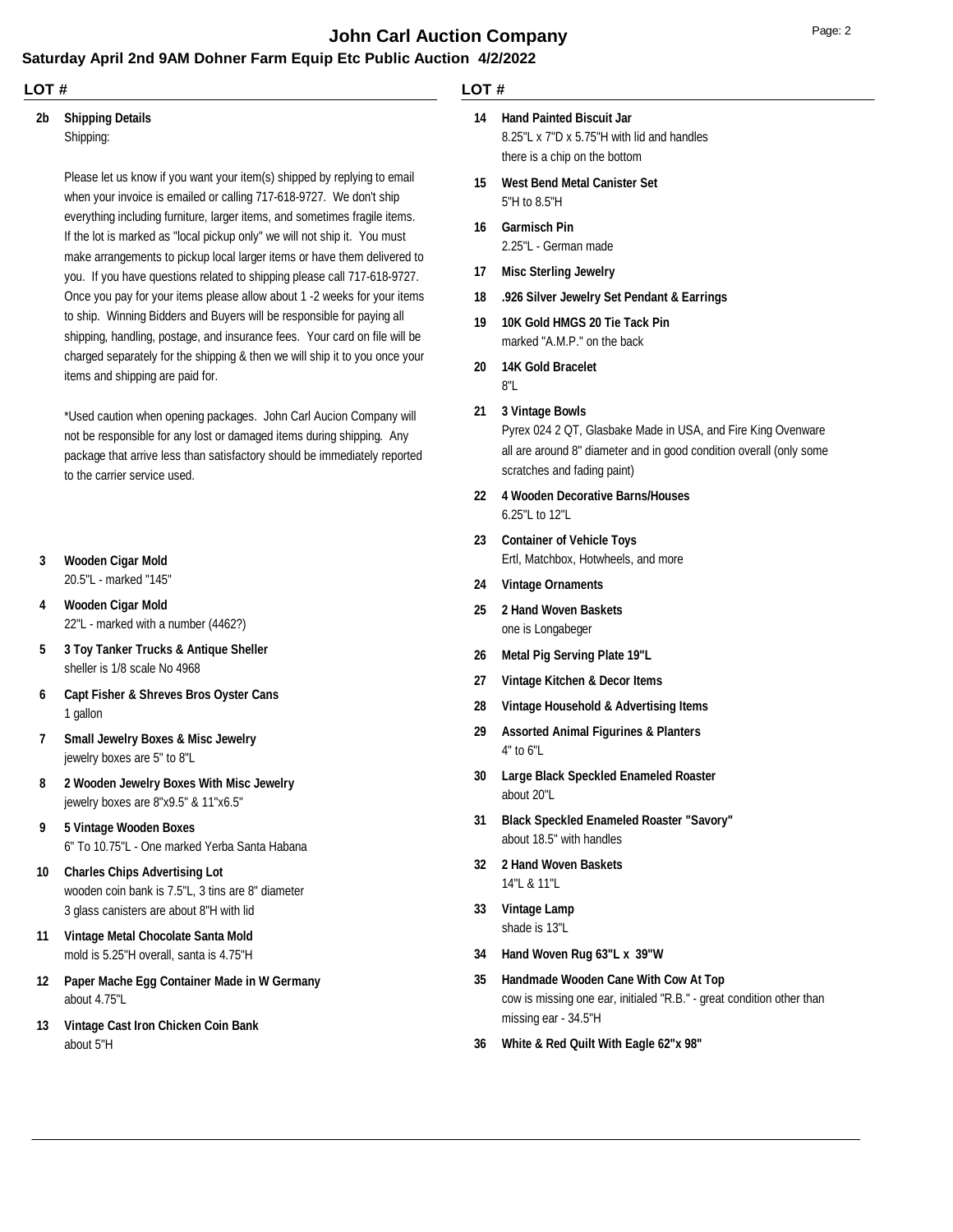## **John Carl Auction Company** Department of the Page: 2

### **Saturday April 2nd 9AM Dohner Farm Equip Etc Public Auction 4/2/2022**

#### **LOT #**

#### Shipping: **2b Shipping Details**

Please let us know if you want your item(s) shipped by replying to email

when your invoice is emailed or calling 717-618-9727. We don't ship everything including furniture, larger items, and sometimes fragile items. If the lot is marked as "local pickup only" we will not ship it. You must make arrangements to pickup local larger items or have them delivered to you. If you have questions related to shipping please call 717-618-9727. Once you pay for your items please allow about 1 -2 weeks for your items to ship. Winning Bidders and Buyers will be responsible for paying all shipping, handling, postage, and insurance fees. Your card on file will be charged separately for the shipping & then we will ship it to you once your items and shipping are paid for.

\*Used caution when opening packages. John Carl Aucion Company will not be responsible for any lost or damaged items during shipping. Any package that arrive less than satisfactory should be immediately reported to the carrier service used.

#### **3 Wooden Cigar Mold**

20.5"L - marked "145"

- 22"L marked with a number (4462?) **4 Wooden Cigar Mold**
- sheller is 1/8 scale No 4968 **5 3 Toy Tanker Trucks & Antique Sheller**
- 1 gallon **6 Capt Fisher & Shreves Bros Oyster Cans**
- jewelry boxes are 5" to 8"L **7 Small Jewelry Boxes & Misc Jewelry**
- jewelry boxes are 8"x9.5" & 11"x6.5" **8 2 Wooden Jewelry Boxes With Misc Jewelry**
- 6" To 10.75"L One marked Yerba Santa Habana **9 5 Vintage Wooden Boxes**
- wooden coin bank is 7.5"L, 3 tins are 8" diameter 3 glass canisters are about 8"H with lid **10 Charles Chips Advertising Lot**
- mold is 5.25"H overall, santa is 4.75"H **11 Vintage Metal Chocolate Santa Mold**
- about 4.75"L **12 Paper Mache Egg Container Made in W Germany**
- about 5"H **13 Vintage Cast Iron Chicken Coin Bank**

### **LOT #**

- **14 Hand Painted Biscuit Jar**
	- 8.25"L x 7"D x 5.75"H with lid and handles there is a chip on the bottom
- 5"H to 8.5"H **15 West Bend Metal Canister Set**
- 2.25"L German made **16 Garmisch Pin**
- **17 Misc Sterling Jewelry**
- **18 .926 Silver Jewelry Set Pendant & Earrings**
- marked "A.M.P." on the back **19 10K Gold HMGS 20 Tie Tack Pin**
- **20 14K Gold Bracelet**
	- 8"L
- **21 3 Vintage Bowls**

Pyrex 024 2 QT, Glasbake Made in USA, and Fire King Ovenware all are around 8" diameter and in good condition overall (only some scratches and fading paint)

- 6.25"L to 12"L **22 4 Wooden Decorative Barns/Houses**
- Ertl, Matchbox, Hotwheels, and more **23 Container of Vehicle Toys**
- **24 Vintage Ornaments**
- one is Longabeger **25 2 Hand Woven Baskets**
- **26 Metal Pig Serving Plate 19"L**
- **27 Vintage Kitchen & Decor Items**
- **28 Vintage Household & Advertising Items**
- 4" to 6"L **29 Assorted Animal Figurines & Planters**
- about 20"L **30 Large Black Speckled Enameled Roaster**
- about 18.5" with handles **31 Black Speckled Enameled Roaster "Savory"**
- 14"L & 11"L **32 2 Hand Woven Baskets**
- shade is 13"L **33 Vintage Lamp**
- **34 Hand Woven Rug 63"L x 39"W**
- cow is missing one ear, initialed "R.B." great condition other than missing ear - 34.5"H **35 Handmade Wooden Cane With Cow At Top**
- **36 White & Red Quilt With Eagle 62"x 98"**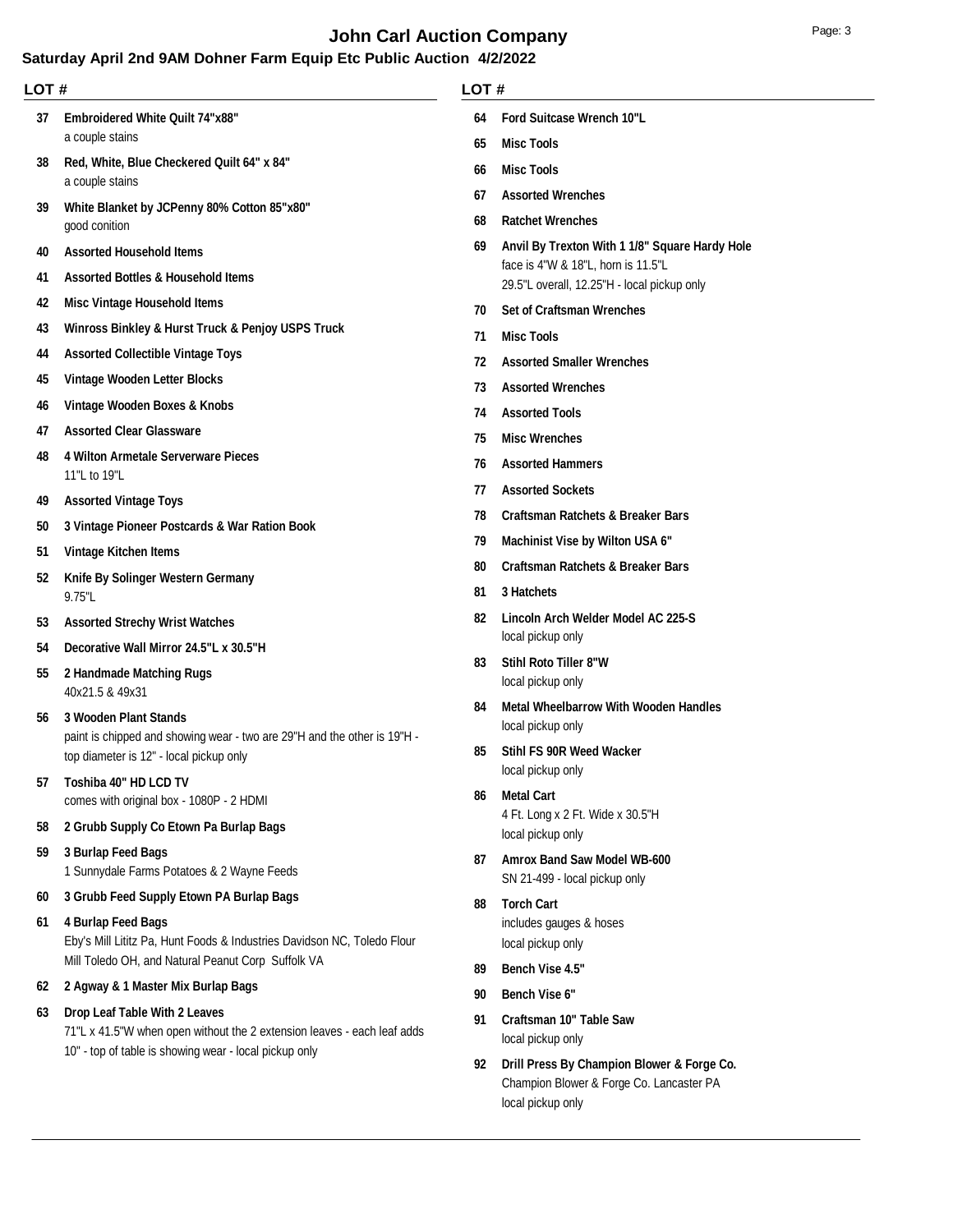## **John Carl Auction Company** Department of the Page: 3

## **Saturday April 2nd 9AM Dohner Farm Equip Etc Public Auction 4/2/2022**

|  | LOT# |                              |  |  |
|--|------|------------------------------|--|--|
|  |      | 64 Ford Suitcase Wrench 10"L |  |  |
|  | 65   | <b>Misc Tools</b>            |  |  |

- **Misc Tools**
- **Assorted Wrenches**
- **Ratchet Wrenches**
- face is 4"W & 18"L, horn is 11.5"L 29.5"L overall, 12.25"H - local pickup only **Anvil By Trexton With 1 1/8" Square Hardy Hole**
- **Set of Craftsman Wrenches**
- **Misc Tools**
- **Assorted Smaller Wrenches**
- **Assorted Wrenches**
- **Assorted Tools**
- **Misc Wrenches**
- **Assorted Hammers**
- **Assorted Sockets**
- **Craftsman Ratchets & Breaker Bars**
- **Machinist Vise by Wilton USA 6"**
- **Craftsman Ratchets & Breaker Bars**
- **3 Hatchets**
- local pickup only **Lincoln Arch Welder Model AC 225-S**
- local pickup only **Stihl Roto Tiller 8"W**
- local pickup only **Metal Wheelbarrow With Wooden Handles**
- local pickup only **Stihl FS 90R Weed Wacker**
- 4 Ft. Long x 2 Ft. Wide x 30.5"H local pickup only **Metal Cart**
- SN 21-499 local pickup only **Amrox Band Saw Model WB-600**
- includes gauges & hoses local pickup only **Torch Cart**
- **Bench Vise 4.5"**
- **Bench Vise 6"**
- local pickup only **Craftsman 10" Table Saw**
- Champion Blower & Forge Co. Lancaster PA local pickup only **Drill Press By Champion Blower & Forge Co.**

comes with original box - 1080P - 2 HDMI **2 Grubb Supply Co Etown Pa Burlap Bags**

40x21.5 & 49x31 **2 Handmade Matching Rugs**

**3 Wooden Plant Stands**

**Toshiba 40" HD LCD TV**

**LOT #**

a couple stains

a couple stains

good conition

11"L to 19"L

**Assorted Vintage Toys**

**Vintage Kitchen Items**

9.75"L

**Assorted Household Items**

 **Assorted Bottles & Household Items Misc Vintage Household Items**

 **Assorted Collectible Vintage Toys Vintage Wooden Letter Blocks Vintage Wooden Boxes & Knobs Assorted Clear Glassware**

**4 Wilton Armetale Serverware Pieces**

**Knife By Solinger Western Germany**

 **Assorted Strechy Wrist Watches Decorative Wall Mirror 24.5"L x 30.5"H**

**3 Vintage Pioneer Postcards & War Ration Book**

**Embroidered White Quilt 74"x88"**

**Red, White, Blue Checkered Quilt 64" x 84"**

**White Blanket by JCPenny 80% Cotton 85"x80"**

**Winross Binkley & Hurst Truck & Penjoy USPS Truck**

1 Sunnydale Farms Potatoes & 2 Wayne Feeds **3 Burlap Feed Bags**

top diameter is 12" - local pickup only

- **3 Grubb Feed Supply Etown PA Burlap Bags**
- Eby's Mill Lititz Pa, Hunt Foods & Industries Davidson NC, Toledo Flour Mill Toledo OH, and Natural Peanut Corp Suffolk VA **4 Burlap Feed Bags**

paint is chipped and showing wear - two are 29"H and the other is 19"H -

- **2 Agway & 1 Master Mix Burlap Bags**
- **Drop Leaf Table With 2 Leaves**

71"L x 41.5"W when open without the 2 extension leaves - each leaf adds 10" - top of table is showing wear - local pickup only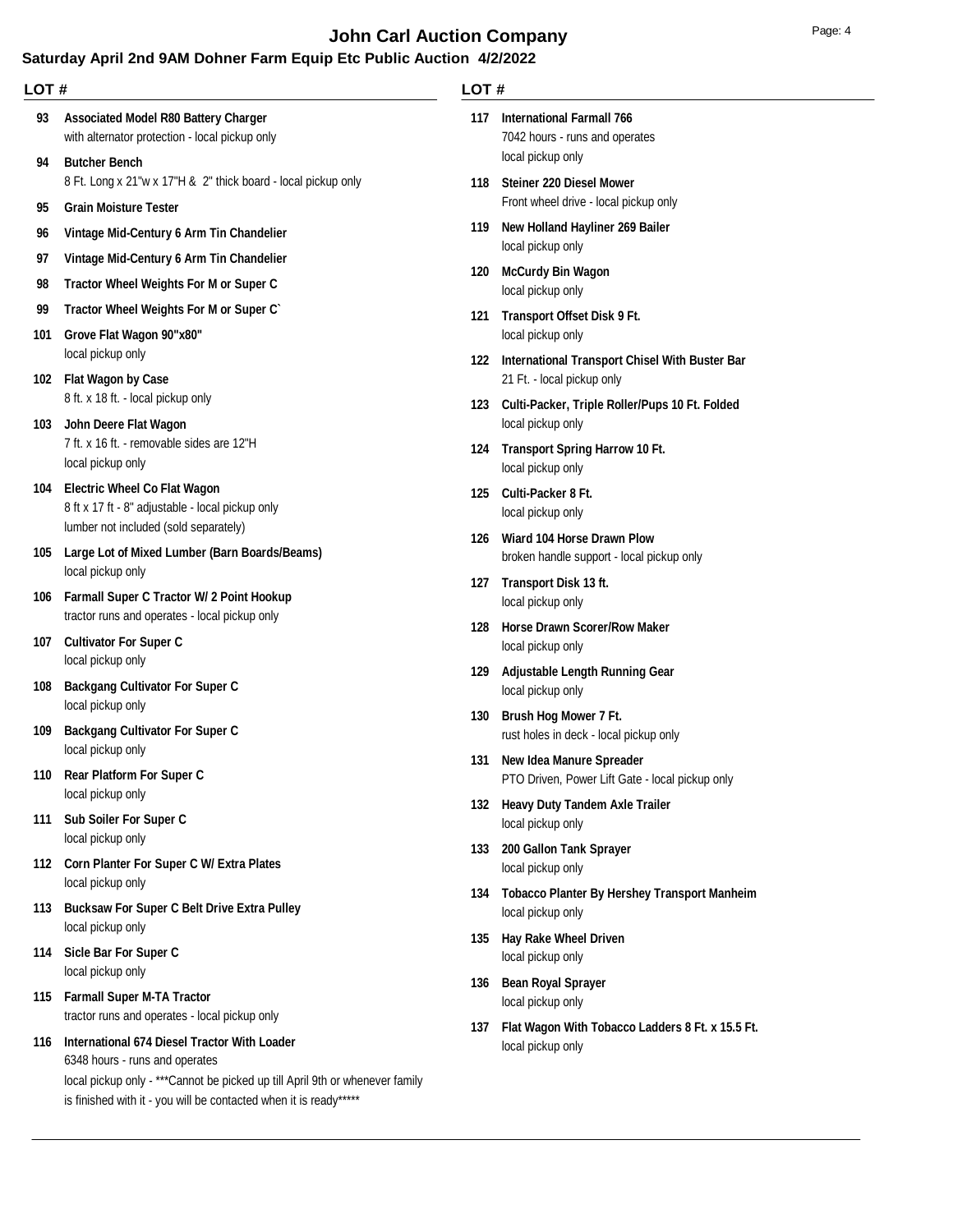# **John Carl Auction Company Page: 4 Page: 4**

## **Saturday April 2nd 9AM Dohner Farm Equip Etc Public Auction 4/2/2022**

| LOT#      |                                                                                                                                                                     | LOT# |                                                                                         |  |
|-----------|---------------------------------------------------------------------------------------------------------------------------------------------------------------------|------|-----------------------------------------------------------------------------------------|--|
| 93        | <b>Associated Model R80 Battery Charger</b><br>with alternator protection - local pickup only<br><b>Butcher Bench</b>                                               | 117  | <b>International Farmall 766</b><br>7042 hours - runs and operates<br>local pickup only |  |
| 94<br>95  | 8 Ft. Long x 21"w x 17"H & 2" thick board - local pickup only<br><b>Grain Moisture Tester</b>                                                                       | 118  | <b>Steiner 220 Diesel Mower</b><br>Front wheel drive - local pickup only                |  |
| 96        | Vintage Mid-Century 6 Arm Tin Chandelier                                                                                                                            | 119  | New Holland Hayliner 269 Bailer<br>local pickup only                                    |  |
| 97<br>98  | Vintage Mid-Century 6 Arm Tin Chandelier<br>Tractor Wheel Weights For M or Super C                                                                                  | 120  | <b>McCurdy Bin Wagon</b><br>local pickup only                                           |  |
| 99<br>101 | Tractor Wheel Weights For M or Super C<br>Grove Flat Wagon 90"x80"                                                                                                  | 121  | Transport Offset Disk 9 Ft.<br>local pickup only                                        |  |
|           | local pickup only<br>102 Flat Wagon by Case                                                                                                                         |      | 122 International Transport Chisel With Buster Bar<br>21 Ft. - local pickup only        |  |
| 103       | 8 ft. x 18 ft. - local pickup only<br>John Deere Flat Wagon                                                                                                         |      | 123 Culti-Packer, Triple Roller/Pups 10 Ft. Folded<br>local pickup only                 |  |
|           | 7 ft. x 16 ft. - removable sides are 12"H<br>local pickup only                                                                                                      |      | 124 Transport Spring Harrow 10 Ft.<br>local pickup only                                 |  |
| 104       | <b>Electric Wheel Co Flat Wagon</b><br>8 ft x 17 ft - 8" adjustable - local pickup only<br>lumber not included (sold separately)                                    | 125  | Culti-Packer 8 Ft.<br>local pickup only                                                 |  |
| 105       | Large Lot of Mixed Lumber (Barn Boards/Beams)<br>local pickup only                                                                                                  | 126  | Wiard 104 Horse Drawn Plow<br>broken handle support - local pickup only                 |  |
|           | 106 Farmall Super C Tractor W/ 2 Point Hookup<br>tractor runs and operates - local pickup only                                                                      |      | 127 Transport Disk 13 ft.<br>local pickup only                                          |  |
|           | 107 Cultivator For Super C<br>local pickup only                                                                                                                     | 128  | <b>Horse Drawn Scorer/Row Maker</b><br>local pickup only                                |  |
| 108       | <b>Backgang Cultivator For Super C</b><br>local pickup only                                                                                                         | 129  | <b>Adjustable Length Running Gear</b><br>local pickup only                              |  |
| 109       | <b>Backgang Cultivator For Super C</b><br>local pickup only                                                                                                         | 130  | Brush Hog Mower 7 Ft.<br>rust holes in deck - local pickup only                         |  |
|           | 110 Rear Platform For Super C<br>local pickup only                                                                                                                  | 131  | <b>New Idea Manure Spreader</b><br>PTO Driven, Power Lift Gate - local pickup only      |  |
|           | 111 Sub Soiler For Super C<br>local pickup only                                                                                                                     |      | 132 Heavy Duty Tandem Axle Trailer<br>local pickup only                                 |  |
|           | 112 Corn Planter For Super C W/ Extra Plates<br>local pickup only                                                                                                   | 133  | 200 Gallon Tank Sprayer<br>local pickup only                                            |  |
| 113       | <b>Bucksaw For Super C Belt Drive Extra Pulley</b><br>local pickup only                                                                                             | 134  | <b>Tobacco Planter By Hershey Transport Manheim</b><br>local pickup only                |  |
|           | 114 Sicle Bar For Super C<br>local pickup only                                                                                                                      | 135  | Hay Rake Wheel Driven<br>local pickup only                                              |  |
|           | 115 Farmall Super M-TA Tractor<br>tractor runs and operates - local pickup only                                                                                     |      | 136 Bean Royal Sprayer<br>local pickup only                                             |  |
|           | 116 International 674 Diesel Tractor With Loader<br>6348 hours - runs and operates<br>local pickup only - *** Cannot be picked up till April 9th or whenever family | 137  | Flat Wagon With Tobacco Ladders 8 Ft. x 15.5 Ft.<br>local pickup only                   |  |

is finished with it - you will be contacted when it is ready\*\*\*\*\*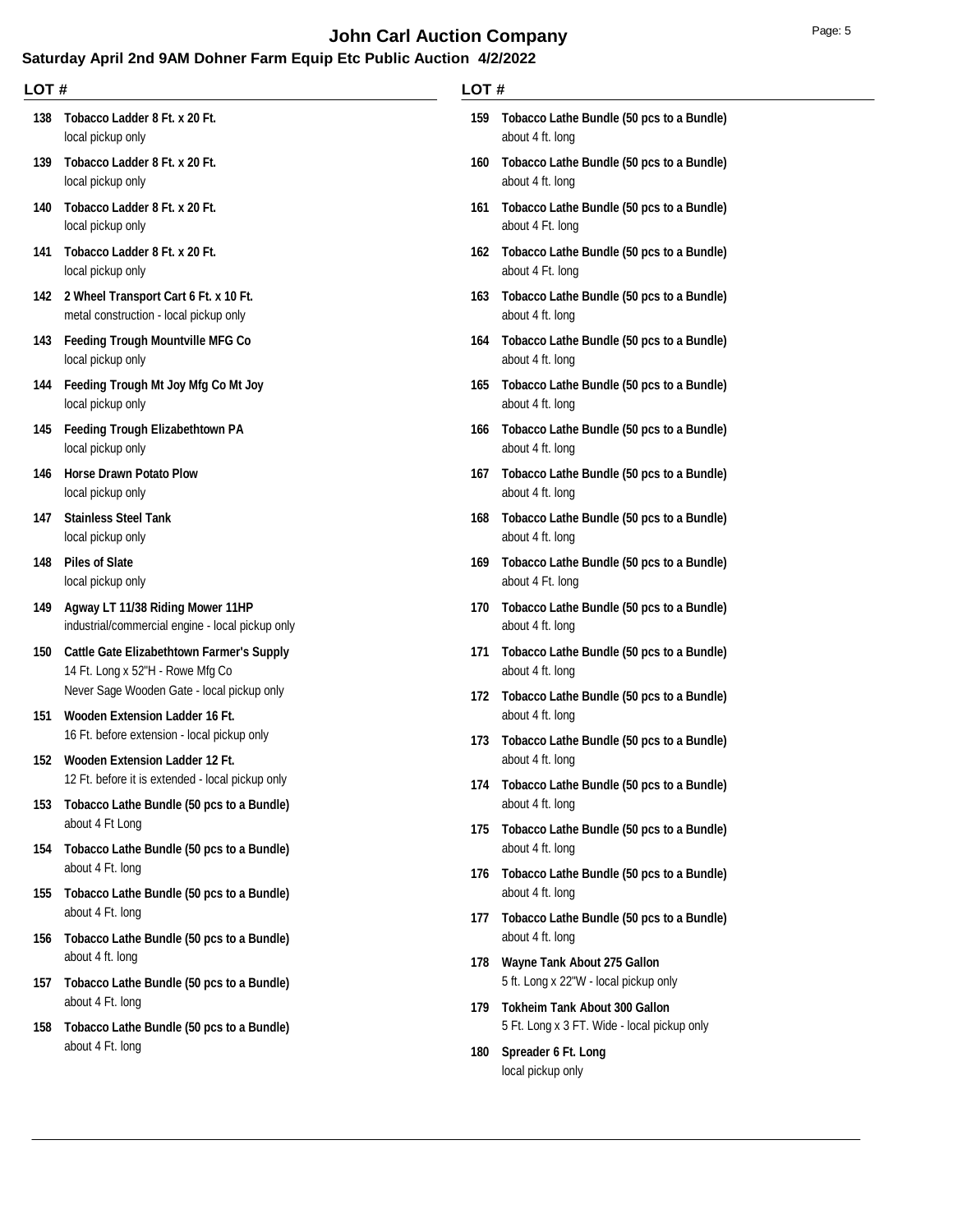# **John Carl Auction Company Page: 5 Page: 5**

## **Saturday April 2nd 9AM Dohner Farm Equip Etc Public Auction 4/2/2022**

| LOT# |                                                                                               |     | LOT#                                                                          |  |
|------|-----------------------------------------------------------------------------------------------|-----|-------------------------------------------------------------------------------|--|
| 138  | Tobacco Ladder 8 Ft. x 20 Ft.<br>local pickup only                                            | 159 | Tobacco Lathe Bundle (50 pcs to a Bundle)<br>about 4 ft. long                 |  |
| 139  | Tobacco Ladder 8 Ft. x 20 Ft.<br>local pickup only                                            | 160 | Tobacco Lathe Bundle (50 pcs to a Bundle)<br>about 4 ft. long                 |  |
| 140  | Tobacco Ladder 8 Ft. x 20 Ft.<br>local pickup only                                            |     | 161 Tobacco Lathe Bundle (50 pcs to a Bundle)<br>about 4 Ft. long             |  |
| 141  | Tobacco Ladder 8 Ft. x 20 Ft.<br>local pickup only                                            |     | 162 Tobacco Lathe Bundle (50 pcs to a Bundle)<br>about 4 Ft. long             |  |
|      | 142 2 Wheel Transport Cart 6 Ft. x 10 Ft.<br>metal construction - local pickup only           |     | 163 Tobacco Lathe Bundle (50 pcs to a Bundle)<br>about 4 ft. long             |  |
|      | 143 Feeding Trough Mountville MFG Co<br>local pickup only                                     | 164 | Tobacco Lathe Bundle (50 pcs to a Bundle)<br>about 4 ft. long                 |  |
| 144  | Feeding Trough Mt Joy Mfg Co Mt Joy<br>local pickup only                                      | 165 | Tobacco Lathe Bundle (50 pcs to a Bundle)<br>about 4 ft. long                 |  |
|      | 145 Feeding Trough Elizabethtown PA<br>local pickup only                                      |     | 166 Tobacco Lathe Bundle (50 pcs to a Bundle)<br>about 4 ft. long             |  |
| 146  | <b>Horse Drawn Potato Plow</b><br>local pickup only                                           | 167 | Tobacco Lathe Bundle (50 pcs to a Bundle)<br>about 4 ft. long                 |  |
| 147  | <b>Stainless Steel Tank</b><br>local pickup only                                              | 168 | Tobacco Lathe Bundle (50 pcs to a Bundle)<br>about 4 ft. long                 |  |
| 148  | <b>Piles of Slate</b><br>local pickup only                                                    | 169 | Tobacco Lathe Bundle (50 pcs to a Bundle)<br>about 4 Ft. long                 |  |
| 149  | Agway LT 11/38 Riding Mower 11HP<br>industrial/commercial engine - local pickup only          | 170 | Tobacco Lathe Bundle (50 pcs to a Bundle)<br>about 4 ft. long                 |  |
| 150  | <b>Cattle Gate Elizabethtown Farmer's Supply</b><br>14 Ft. Long x 52"H - Rowe Mfg Co          | 171 | Tobacco Lathe Bundle (50 pcs to a Bundle)<br>about 4 ft. long                 |  |
| 151  | Never Sage Wooden Gate - local pickup only<br>Wooden Extension Ladder 16 Ft.                  |     | 172 Tobacco Lathe Bundle (50 pcs to a Bundle)<br>about 4 ft. long             |  |
| 152  | 16 Ft. before extension - local pickup only<br>Wooden Extension Ladder 12 Ft.                 | 173 | Tobacco Lathe Bundle (50 pcs to a Bundle)<br>about 4 ft. long                 |  |
| 153  | 12 Ft. before it is extended - local pickup only<br>Tobacco Lathe Bundle (50 pcs to a Bundle) | 174 | Tobacco Lathe Bundle (50 pcs to a Bundle)<br>about 4 ft. long                 |  |
| 154  | about 4 Ft Long<br>Tobacco Lathe Bundle (50 pcs to a Bundle)                                  | 175 | Tobacco Lathe Bundle (50 pcs to a Bundle)<br>about 4 ft. long                 |  |
|      | about 4 Ft. long                                                                              |     | 176 Tobacco Lathe Bundle (50 pcs to a Bundle)<br>about 4 ft. long             |  |
| 155  | Tobacco Lathe Bundle (50 pcs to a Bundle)<br>about 4 Ft. long                                 | 177 | Tobacco Lathe Bundle (50 pcs to a Bundle)                                     |  |
| 156  | Tobacco Lathe Bundle (50 pcs to a Bundle)<br>about 4 ft. long                                 |     | about 4 ft. long<br>178 Wayne Tank About 275 Gallon                           |  |
| 157  | Tobacco Lathe Bundle (50 pcs to a Bundle)<br>about 4 Ft. long                                 | 179 | 5 ft. Long x 22"W - local pickup only<br><b>Tokheim Tank About 300 Gallon</b> |  |
| 158  | Tobacco Lathe Bundle (50 pcs to a Bundle)<br>about 4 Ft. long                                 | 180 | 5 Ft. Long x 3 FT. Wide - local pickup only<br>Spreader 6 Ft. Long            |  |
|      |                                                                                               |     | local pickup only                                                             |  |